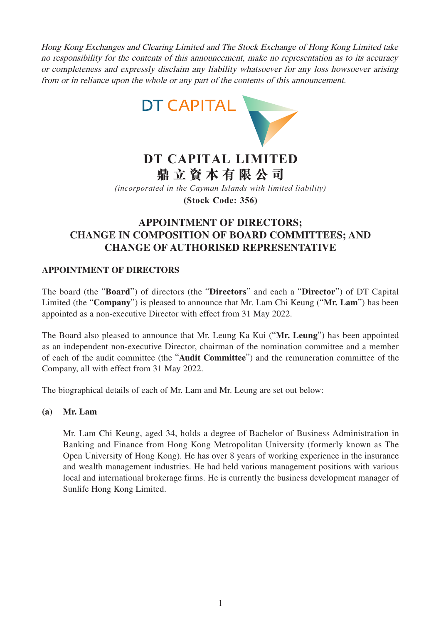Hong Kong Exchanges and Clearing Limited and The Stock Exchange of Hong Kong Limited take no responsibility for the contents of this announcement, make no representation as to its accuracy or completeness and expressly disclaim any liability whatsoever for any loss howsoever arising from or in reliance upon the whole or any part of the contents of this announcement.



# **DT CAPITAL LIMITED 鼎立資本有限公司**

*(incorporated in the Cayman Islands with limited liability)*

**(Stock Code: 356)**

## **APPOINTMENT OF DIRECTORS; CHANGE IN COMPOSITION OF BOARD COMMITTEES; AND CHANGE OF AUTHORISED REPRESENTATIVE**

### **APPOINTMENT OF DIRECTORS**

The board (the "**Board**") of directors (the "**Directors**" and each a "**Director**") of DT Capital Limited (the "**Company**") is pleased to announce that Mr. Lam Chi Keung ("**Mr. Lam**") has been appointed as a non-executive Director with effect from 31 May 2022.

The Board also pleased to announce that Mr. Leung Ka Kui ("**Mr. Leung**") has been appointed as an independent non-executive Director, chairman of the nomination committee and a member of each of the audit committee (the "**Audit Committee**") and the remuneration committee of the Company, all with effect from 31 May 2022.

The biographical details of each of Mr. Lam and Mr. Leung are set out below:

### **(a) Mr. Lam**

Mr. Lam Chi Keung, aged 34, holds a degree of Bachelor of Business Administration in Banking and Finance from Hong Kong Metropolitan University (formerly known as The Open University of Hong Kong). He has over 8 years of working experience in the insurance and wealth management industries. He had held various management positions with various local and international brokerage firms. He is currently the business development manager of Sunlife Hong Kong Limited.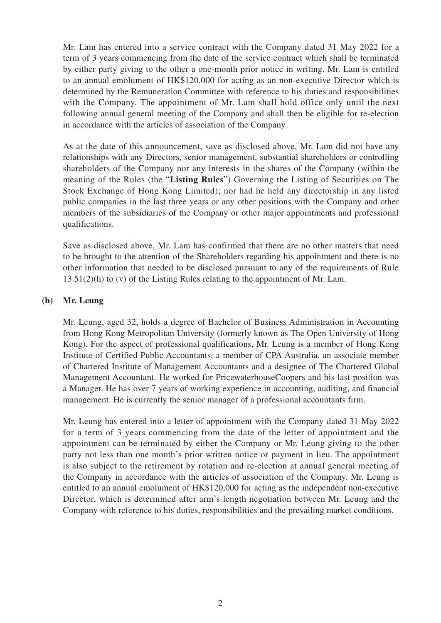Mr. Lam has entered into a service contract with the Company dated 31 May 2022 for a term of 3 years commencing from the date of the service contract which shall be terminated by either party giving to the other a one-month prior notice in writing. Mr. Lam is entitled to an annual emolument of HK\$120,000 for acting as an non-executive Director which is determined by the Remuneration Committee with reference to his duties and responsibilities with the Company. The appointment of Mr. Lam shall hold office only until the next following annual general meeting of the Company and shall then be eligible for re-election in accordance with the articles of association of the Company.

As at the date of this announcement, save as disclosed above, Mr. Lam did not have any relationships with any Directors, senior management, substantial shareholders or controlling shareholders of the Company nor any interests in the shares of the Company (within the meaning of the Rules (the "**Listing Rules**") Governing the Listing of Securities on The Stock Exchange of Hong Kong Limited); nor had he held any directorship in any listed public companies in the last three years or any other positions with the Company and other members of the subsidiaries of the Company or other major appointments and professional qualifications.

Save as disclosed above, Mr. Lam has confirmed that there are no other matters that need to be brought to the attention of the Shareholders regarding his appointment and there is no other information that needed to be disclosed pursuant to any of the requirements of Rule 13.51(2)(h) to (v) of the Listing Rules relating to the appointment of Mr. Lam.

#### **(b) Mr. Leung**

Mr. Leung, aged 32, holds a degree of Bachelor of Business Administration in Accounting from Hong Kong Metropolitan University (formerly known as The Open University of Hong Kong). For the aspect of professional qualifications, Mr. Leung is a member of Hong Kong Institute of Certified Public Accountants, a member of CPA Australia, an associate member of Chartered Institute of Management Accountants and a designee of The Chartered Global Management Accountant. He worked for PricewaterhouseCoopers and his last position was a Manager. He has over 7 years of working experience in accounting, auditing, and financial management. He is currently the senior manager of a professional accountants firm.

Mr. Leung has entered into a letter of appointment with the Company dated 31 May 2022 for a term of 3 years commencing from the date of the letter of appointment and the appointment can be terminated by either the Company or Mr. Leung giving to the other party not less than one month's prior written notice or payment in lieu. The appointment is also subject to the retirement by rotation and re-election at annual general meeting of the Company in accordance with the articles of association of the Company. Mr. Leung is entitled to an annual emolument of HK\$120,000 for acting as the independent non-executive Director, which is determined after arm's length negotiation between Mr. Leung and the Company with reference to his duties, responsibilities and the prevailing market conditions.